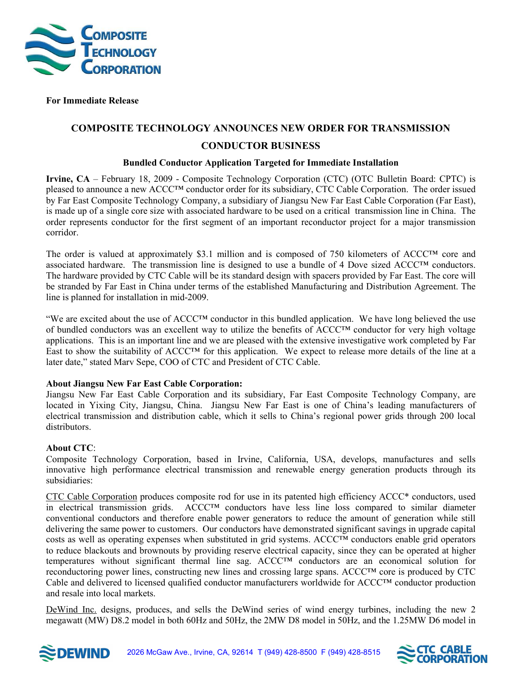

 **For Immediate Release** 

# **COMPOSITE TECHNOLOGY ANNOUNCES NEW ORDER FOR TRANSMISSION CONDUCTOR BUSINESS**

#### **Bundled Conductor Application Targeted for Immediate Installation**

**Irvine, CA** – February 18, 2009 - Composite Technology Corporation (CTC) (OTC Bulletin Board: CPTC) is pleased to announce a new ACCC™ conductor order for its subsidiary, CTC Cable Corporation. The order issued by Far East Composite Technology Company, a subsidiary of Jiangsu New Far East Cable Corporation (Far East), is made up of a single core size with associated hardware to be used on a critical transmission line in China. The order represents conductor for the first segment of an important reconductor project for a major transmission corridor.

The order is valued at approximately \$3.1 million and is composed of 750 kilometers of ACCC™ core and associated hardware. The transmission line is designed to use a bundle of 4 Dove sized ACCC™ conductors. The hardware provided by CTC Cable will be its standard design with spacers provided by Far East. The core will be stranded by Far East in China under terms of the established Manufacturing and Distribution Agreement. The line is planned for installation in mid-2009.

"We are excited about the use of ACCC™ conductor in this bundled application. We have long believed the use of bundled conductors was an excellent way to utilize the benefits of ACCC™ conductor for very high voltage applications. This is an important line and we are pleased with the extensive investigative work completed by Far East to show the suitability of ACCC™ for this application. We expect to release more details of the line at a later date," stated Marv Sepe, COO of CTC and President of CTC Cable.

### **About Jiangsu New Far East Cable Corporation:**

Jiangsu New Far East Cable Corporation and its subsidiary, Far East Composite Technology Company, are located in Yixing City, Jiangsu, China. Jiangsu New Far East is one of China's leading manufacturers of electrical transmission and distribution cable, which it sells to China's regional power grids through 200 local distributors.

## **About CTC**:

Composite Technology Corporation, based in Irvine, California, USA, develops, manufactures and sells innovative high performance electrical transmission and renewable energy generation products through its subsidiaries:

CTC Cable Corporation produces composite rod for use in its patented high efficiency ACCC\* conductors, used in electrical transmission grids.  $\text{ACCCT}^{\text{TM}}$  conductors have less line loss compared to similar diameter conventional conductors and therefore enable power generators to reduce the amount of generation while still delivering the same power to customers. Our conductors have demonstrated significant savings in upgrade capital costs as well as operating expenses when substituted in grid systems. ACCC™ conductors enable grid operators to reduce blackouts and brownouts by providing reserve electrical capacity, since they can be operated at higher temperatures without significant thermal line sag. ACCC™ conductors are an economical solution for reconductoring power lines, constructing new lines and crossing large spans. ACCC™ core is produced by CTC Cable and delivered to licensed qualified conductor manufacturers worldwide for ACCC™ conductor production and resale into local markets.

DeWind Inc. designs, produces, and sells the DeWind series of wind energy turbines, including the new 2 megawatt (MW) D8.2 model in both 60Hz and 50Hz, the 2MW D8 model in 50Hz, and the 1.25MW D6 model in